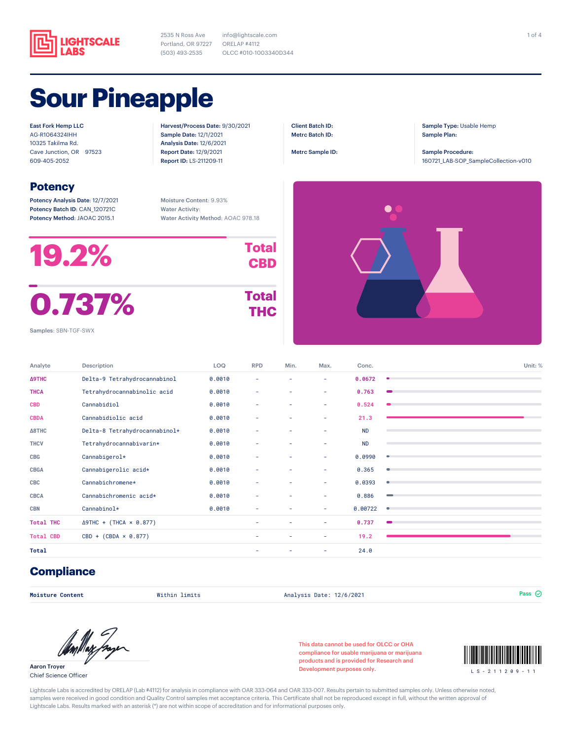

2535 N Ross Ave Portland, OR 97227 (503) 493-2535

info@lightscale.com ORELAP #4112 OLCC #010-1003340D344

## **Sour Pineapple**

East Fork Hemp LLC AG-R1064324IHH 10325 Takilma Rd. Cave Junction, OR 97523 609-405-2052

## **Potency**

Potency Analysis Date: 12/7/2021 Potency Batch ID: CAN\_120721C Potency Method: JAOAC 2015.1

Report Date: 12/9/2021 Report ID: LS-211209-11

Harvest/Process Date: 9/30/2021 Sample Date: 12/1/2021 Analysis Date: 12/6/2021

Client Batch ID: Metrc Batch ID:

Metrc Sample ID:

Sample Type: Usable Hemp Sample Plan:

Sample Procedure: 160721\_LAB-SOP\_SampleCollection-v010

Moisture Content: 9.93% Water Activity: Water Activity Method: AOAC 978.18

| <b>19.2%</b> | <b>Total</b><br><b>CBD</b> |
|--------------|----------------------------|
| 0.737%       | <b>Total</b><br><b>THC</b> |

Samples: SBN-TGF-SWX

| Analyte          | Description                    | LOQ    | <b>RPD</b> | Min. | Max. | Conc.     | Unit: %   |
|------------------|--------------------------------|--------|------------|------|------|-----------|-----------|
| <b>A9THC</b>     | Delta-9 Tetrahydrocannabinol   | 0.0010 | ۰          | ۰    | ٠    | 0.0672    | ٠         |
| <b>THCA</b>      | Tetrahydrocannabinolic acid    | 0.0010 | ٠          | ٠    | ٠    | 0.763     |           |
| <b>CBD</b>       | Cannabidiol                    | 0.0010 | ٠          | ٠    | ٠    | 0.524     |           |
| <b>CBDA</b>      | Cannabidiolic acid             | 0.0010 | ٠          | ٠    | ٠    | 21.3      |           |
| <b>∆8THC</b>     | Delta-8 Tetrahydrocannabinol*  | 0.0010 | ٠          | ٠    | ٠    | <b>ND</b> |           |
| <b>THCV</b>      | Tetrahydrocannabivarin*        | 0.0010 | ٠          | ٠    | ٠    | <b>ND</b> |           |
| CBG              | Cannabigerol*                  | 0.0010 | ٠          | ۰    | ٠    | 0.0990    | ۰         |
| <b>CBGA</b>      | Cannabigerolic acid*           | 0.0010 | ٠          | ٠    | ٠    | 0.365     | $\bullet$ |
| CBC              | Cannabichromene*               | 0.0010 | ٠          | ٠    | ٠    | 0.0393    | ۰         |
| <b>CBCA</b>      | Cannabichromenic acid*         | 0.0010 | ٠          | ٠    | ٠    | 0.886     |           |
| <b>CBN</b>       | Cannabinol*                    | 0.0010 | ٠          | ٠    | ٠    | 0.00722   | ۰         |
| <b>Total THC</b> | $\Delta$ 9THC + (THCA × 0.877) |        | ٠          | ٠    | ٠    | 0.737     |           |
| <b>Total CBD</b> | $CBD + (CBDA \times 0.877)$    |        | ۰          | ۰    | ٠    | 19.2      |           |
| Total            |                                |        | ۰          | ۰    | ٠    | 24.0      |           |

## **Compliance**

**Moisture Content** Within limits Analysis Date: 12/6/2021 Pass

Aaron Troyer Chief Science Officer

This data cannot be used for OLCC or OHA compliance for usable marijuana or marijuana products and is provided for Research and compliance for usable marijuana or marijuana<br>products and is provided for Research and<br>Development purposes only.<br>LS-211209-11



Lightscale Labs is accredited by ORELAP (Lab #4112) for analysis in compliance with OAR 333-064 and OAR 333-007. Results pertain to submitted samples only. Unless otherwise noted, samples were received in good condition and Quality Control samples met acceptance criteria. This Certificate shall not be reproduced except in full, without the written approval of Lightscale Labs. Results marked with an asterisk (\*) are not within scope of accreditation and for informational purposes only.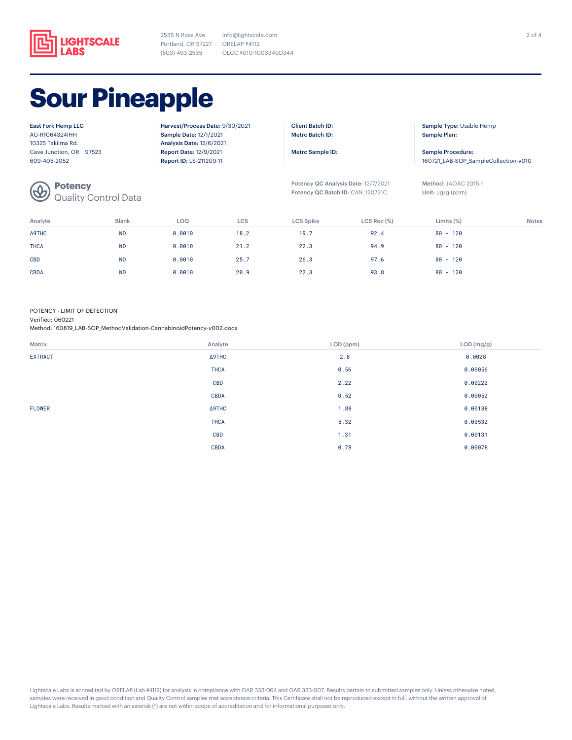

2535 N Ross Ave Portland, OR 97227 ORELAP #4112 (503) 493-2535 info@lightscale.com OLCC #010-1003340D344

# **Sour Pineapple**

| <b>East Fork Hemp LLC</b> |  |  |  |  |
|---------------------------|--|--|--|--|
| AG-R1064324IHH            |  |  |  |  |
| 10325 Takilma Rd.         |  |  |  |  |
| Cave Junction, OR 97523   |  |  |  |  |
| 609-405-2052              |  |  |  |  |

**Potency**

Quality Control Data

Harvest/Process Date: 9/30/2021 Sample Date: 12/1/2021 Analysis Date: 12/6/2021 Report Date: 12/9/2021 Report ID: LS-211209-11

Client Batch ID: Metrc Batch ID:

Metrc Sample ID:

Potency QC Analysis Date: 12/7/2021 Potency QC Batch ID: CAN\_120721C

Sample Type: Usable Hemp Sample Plan:

Sample Procedure: 160721\_LAB-SOP\_SampleCollection-v010

Method: JAOAC 2015.1 Unit: μg/g (ppm)

| Analyte     | <b>Blank</b> | LOQ    | LCS  | <b>LCS Spike</b> | $LCS$ Rec $(\%)$ | Limits $(\%)$ | <b>Notes</b> |
|-------------|--------------|--------|------|------------------|------------------|---------------|--------------|
| ∆9THC       | <b>ND</b>    | 0.0010 | 18.2 | 19.7             | 92.4             | $80 - 120$    |              |
| <b>THCA</b> | <b>ND</b>    | 0.0010 | 21.2 | 22.3             | 94.9             | $80 - 120$    |              |
| <b>CBD</b>  | <b>ND</b>    | 0.0010 | 25.7 | 26.3             | 97.6             | $80 - 120$    |              |
| <b>CBDA</b> | <b>ND</b>    | 0.0010 | 20.9 | 22.3             | 93.8             | $80 - 120$    |              |

POTENCY - LIMIT OF DETECTION

Verified: 060221

Method: 160819\_LAB-SOP\_MethodValidation-CannabinoidPotency-v002.docx

| Matrix         | Analyte     | LOD (ppm) | LOD (mg/g) |
|----------------|-------------|-----------|------------|
| <b>EXTRACT</b> | Δ9THC       | 2.8       | 0.0028     |
|                | <b>THCA</b> | 0.56      | 0.00056    |
|                | <b>CBD</b>  | 2.22      | 0.00222    |
|                | <b>CBDA</b> | 0.52      | 0.00052    |
| <b>FLOWER</b>  | Δ9THC       | 1.88      | 0.00188    |
|                | <b>THCA</b> | 5.32      | 0.00532    |
|                | <b>CBD</b>  | 1.31      | 0.00131    |
|                | <b>CBDA</b> | 0.78      | 0.00078    |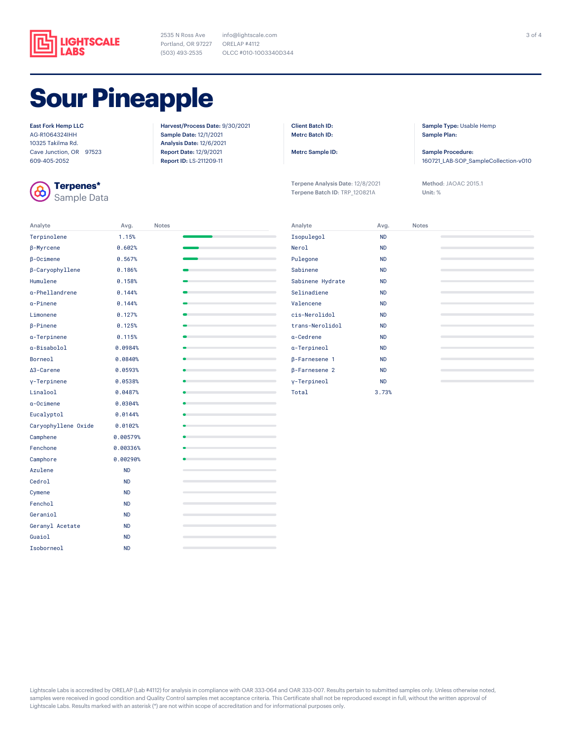

2535 N Ross Ave Portland, OR 97227 (503) 493-2535

info@lightscale.com ORELAP #4112 OLCC #010-1003340D344

# **Sour Pineapple**

#### East Fork Hemp LLC

AG-R1064324IHH 10325 Takilma Rd. Cave Junction, OR 97523 609-405-2052



**Terpenes\*** Sample Data Harvest/Process Date: 9/30/2021 Sample Date: 12/1/2021 Analysis Date: 12/6/2021 Report Date: 12/9/2021 Report ID: LS-211209-11

Client Batch ID: Metrc Batch ID:

Metrc Sample ID:

Terpene Analysis Date: 12/8/2021 Terpene Batch ID: TRP\_120821A

Sample Type: Usable Hemp Sample Plan:

Sample Procedure: 160721\_LAB-SOP\_SampleCollection-v010

Method: JAOAC 2015.1 Unit: %

| Analyte             | Avg.      | <b>Notes</b> |                                                                            |
|---------------------|-----------|--------------|----------------------------------------------------------------------------|
| Terpinolene         | 1.15%     |              |                                                                            |
| <b>B-Myrcene</b>    | 0.602%    |              | the control of the control of the control of                               |
| $\beta$ -Ocimene    | 0.567%    |              | the control of the control of the control of                               |
| β-Caryophyllene     | 0.186%    |              |                                                                            |
| Humulene            | 0.158%    |              | the control of the control of the control of                               |
| a-Phellandrene      | 0.144%    |              | the control of the control of the con-                                     |
| a-Pinene            | 0.144%    |              |                                                                            |
| Limonene            | 0.127%    |              | the control of the control of the control of                               |
| <b>B-Pinene</b>     | 0.125%    |              |                                                                            |
| a-Terpinene         | 0.115%    |              | the control of the control of the control of                               |
| a-Bisabolol         | 0.0984%   |              | the contract of the contract of the contract of                            |
| Borneol             | 0.0840%   |              |                                                                            |
| ∆3-Carene           | 0.0593%   |              |                                                                            |
| y-Terpinene         | 0.0538%   |              |                                                                            |
| Linalool            | 0.0487%   |              |                                                                            |
| a-Ocimene           | 0.0304%   |              | the control of the control of the control of the control of the control of |
| Eucalyptol          | 0.0144%   |              | the control of the control of the control of                               |
| Caryophyllene Oxide | 0.0102%   |              | the control of the control of the control of                               |
| Camphene            | 0.00579%  |              |                                                                            |
| Fenchone            | 0.00336%  |              |                                                                            |
| Camphore            | 0.00290%  |              | the control of the control of the                                          |
| Azulene             | <b>ND</b> |              | the control of the control of the control of the control of the control of |
| Cedrol              | <b>ND</b> |              |                                                                            |
| Cymene              | <b>ND</b> |              |                                                                            |
| Fenchol             | <b>ND</b> |              |                                                                            |
| Geraniol            | <b>ND</b> |              |                                                                            |
| Geranyl Acetate     | <b>ND</b> |              |                                                                            |
| Guaiol              | <b>ND</b> |              | the control of the control of the control of the control of the            |
| Isoborneol          | <b>ND</b> |              | $\overline{a}$                                                             |

| Analyte              | Avg.      | <b>Notes</b> |
|----------------------|-----------|--------------|
| Isopulegol           | <b>ND</b> |              |
| Nerol                | <b>ND</b> |              |
| Pulegone             | <b>ND</b> |              |
| Sabinene             | <b>ND</b> |              |
| Sabinene Hydrate     | <b>ND</b> |              |
| Selinadiene          | <b>ND</b> |              |
| Valencene            | <b>ND</b> |              |
| cis-Nerolidol        | <b>ND</b> |              |
| trans-Nerolidol      | <b>ND</b> |              |
| a-Cedrene            | <b>ND</b> |              |
| a-Terpineol          | <b>ND</b> |              |
| β-Farnesene 1        | <b>ND</b> |              |
| $\beta$ -Farnesene 2 | <b>ND</b> |              |
| y-Terpineol          | <b>ND</b> |              |
| Total                | 3.73%     |              |